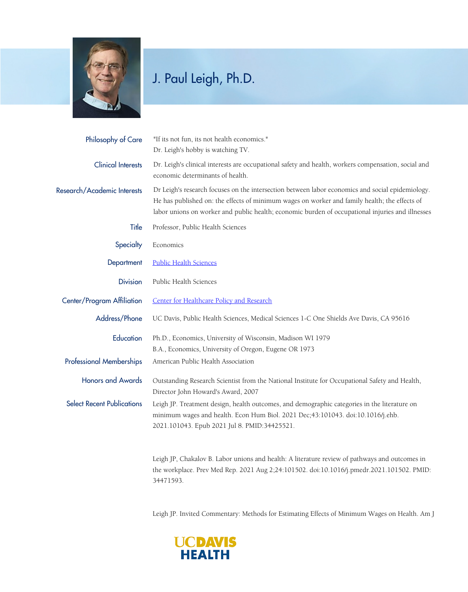

## J. Paul Leigh, Ph.D.

| Philosophy of Care                | "If its not fun, its not health economics."<br>Dr. Leigh's hobby is watching TV.                                                                                                                                                                                                                      |
|-----------------------------------|-------------------------------------------------------------------------------------------------------------------------------------------------------------------------------------------------------------------------------------------------------------------------------------------------------|
| <b>Clinical Interests</b>         | Dr. Leigh's clinical interests are occupational safety and health, workers compensation, social and<br>economic determinants of health.                                                                                                                                                               |
| Research/Academic Interests       | Dr Leigh's research focuses on the intersection between labor economics and social epidemiology.<br>He has published on: the effects of minimum wages on worker and family health; the effects of<br>labor unions on worker and public health; economic burden of occupational injuries and illnesses |
| Title                             | Professor, Public Health Sciences                                                                                                                                                                                                                                                                     |
| Specialty                         | Economics                                                                                                                                                                                                                                                                                             |
| Department                        | <b>Public Health Sciences</b>                                                                                                                                                                                                                                                                         |
| <b>Division</b>                   | Public Health Sciences                                                                                                                                                                                                                                                                                |
| Center/Program Affiliation        | Center for Healthcare Policy and Research                                                                                                                                                                                                                                                             |
| Address/Phone                     | UC Davis, Public Health Sciences, Medical Sciences 1-C One Shields Ave Davis, CA 95616                                                                                                                                                                                                                |
| Education                         | Ph.D., Economics, University of Wisconsin, Madison WI 1979<br>B.A., Economics, University of Oregon, Eugene OR 1973                                                                                                                                                                                   |
| <b>Professional Memberships</b>   | American Public Health Association                                                                                                                                                                                                                                                                    |
| <b>Honors and Awards</b>          | Outstanding Research Scientist from the National Institute for Occupational Safety and Health,<br>Director John Howard's Award, 2007                                                                                                                                                                  |
| <b>Select Recent Publications</b> | Leigh JP. Treatment design, health outcomes, and demographic categories in the literature on<br>minimum wages and health. Econ Hum Biol. 2021 Dec; 43:101043. doi:10.1016/j.ehb.<br>2021.101043. Epub 2021 Jul 8. PMID:34425521.                                                                      |

Leigh JP, Chakalov B. Labor unions and health: A literature review of pathways and outcomes in the workplace. Prev Med Rep. 2021 Aug 2;24:101502. doi:10.1016/j.pmedr.2021.101502. PMID: 34471593.

Leigh JP. Invited Commentary: Methods for Estimating Effects of Minimum Wages on Health. Am J